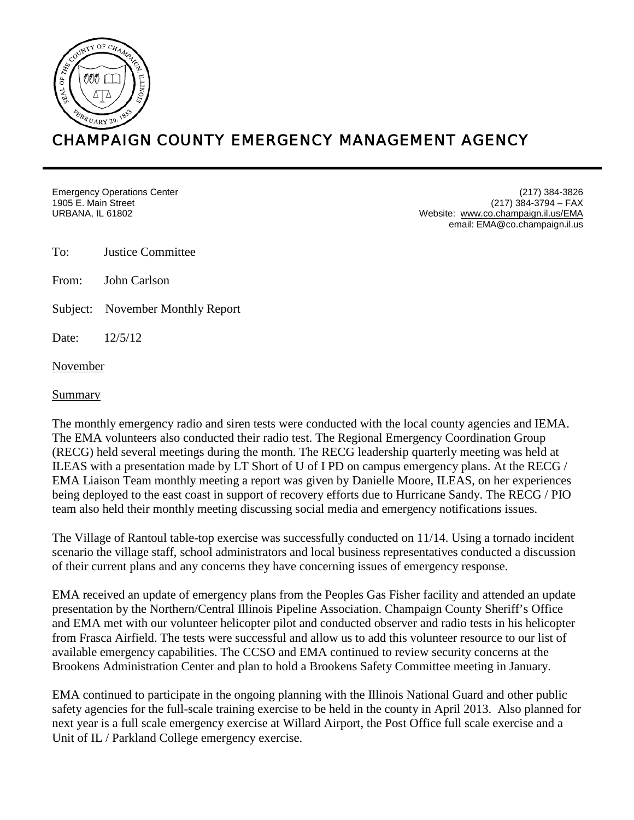

## CHAMPAIGN COUNTY EMERGENCY MANAGEMENT AGENCY

Emergency Operations Center 1905 E. Main Street URBANA, IL 61802

(217) 384-3826 (217) 384-3794 – FAX Website: [www.co.champaign.il.us/EMA](http://www.co.champaign.il.us/EMA) email: EMA@co.champaign.il.us

To: Justice Committee

From: John Carlson

Subject: November Monthly Report

Date: 12/5/12

November

I

Summary

The monthly emergency radio and siren tests were conducted with the local county agencies and IEMA. The EMA volunteers also conducted their radio test. The Regional Emergency Coordination Group (RECG) held several meetings during the month. The RECG leadership quarterly meeting was held at ILEAS with a presentation made by LT Short of U of I PD on campus emergency plans. At the RECG / EMA Liaison Team monthly meeting a report was given by Danielle Moore, ILEAS, on her experiences being deployed to the east coast in support of recovery efforts due to Hurricane Sandy. The RECG / PIO team also held their monthly meeting discussing social media and emergency notifications issues.

The Village of Rantoul table-top exercise was successfully conducted on 11/14. Using a tornado incident scenario the village staff, school administrators and local business representatives conducted a discussion of their current plans and any concerns they have concerning issues of emergency response.

EMA received an update of emergency plans from the Peoples Gas Fisher facility and attended an update presentation by the Northern/Central Illinois Pipeline Association. Champaign County Sheriff's Office and EMA met with our volunteer helicopter pilot and conducted observer and radio tests in his helicopter from Frasca Airfield. The tests were successful and allow us to add this volunteer resource to our list of available emergency capabilities. The CCSO and EMA continued to review security concerns at the Brookens Administration Center and plan to hold a Brookens Safety Committee meeting in January.

EMA continued to participate in the ongoing planning with the Illinois National Guard and other public safety agencies for the full-scale training exercise to be held in the county in April 2013. Also planned for next year is a full scale emergency exercise at Willard Airport, the Post Office full scale exercise and a Unit of IL / Parkland College emergency exercise.